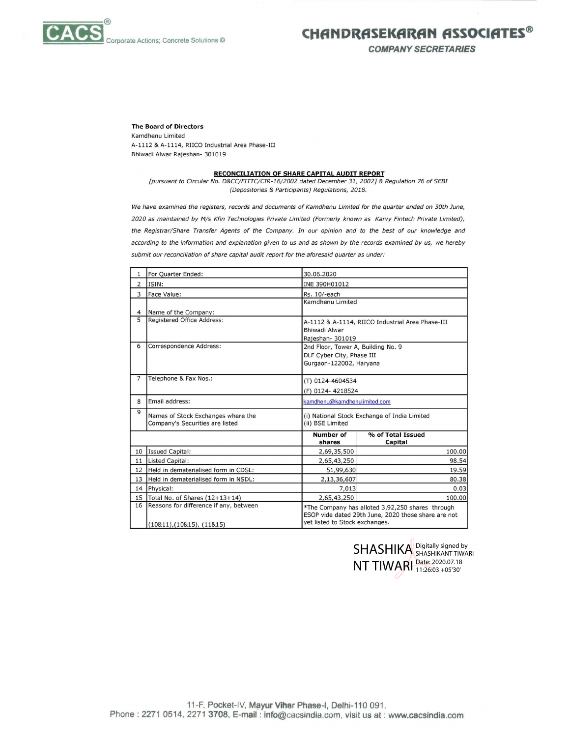

CHANDRASEKARAN ASSOCIATES<sup>®</sup>

COMPANY SECRETARIES

## The Board of Directors

## RECONCILIATION OF SHARE CAPITAL AUDIT REPORT

We have examined the registers, records and documents of Kamdhenu Limited for the quarter ended on 30th June, 2020 as maintained by M/s Kfin Technologies Private Limited (Formerly known as Karvy Fintech Private Limited), the Registrar/Share Transfer Agents of the Company. In our opinion and to the best of our knowledge and according to the information and explanation given to us and as shown by the records examined by us, we hereby te Actions; Concrete Solutions ©<br>
Kamdhenu Limited<br>
A-1112 & A-1114, RIICO Industrial Area Phase-III<br>
Bhiwadi Alwar Rajeshan- 301019<br>
<u>RECONCILIATION OF SHAF</u><br> *[pursuant to Circular No. D&CC/FITTC/CIR-16/2002*<br> *(Deposito* te Actions; Concrete Solutions ©<br> **The Board of Directors**<br>
Kamdhenu Limited<br>
A-1112 & A-1114, RIICO Industrial Area Phase-III<br>
Bhiwadi Alwar Rajeshan- 301019<br> **RECONCILIATION OF SHAF**<br> *[pursuant to Circular No. D&CC/FITT* te Actions; Concrete Solutions ©<br>
Namdhenu Limited<br>
A-1112 & A-1114, RICO Industrial Area Phase-III<br>
Bhiwadi Alwar Rajeshan- 301019<br>
Floursuant to Circular No. D&CC/FITTC/CIR-16/2002<br>
(Depositories & Participa<br>
We have exa submit our reconciliation of share capital audit report for the aforesaid quarter as under: te Actions; Concrete Solutions ©<br>
Namdhenu Limited<br>
A-1112 & A-1114, RIICO Industrial Area Phase-III<br>
Bhiwadi Alwar Rajeshan- 301019<br>
FECONCLILATION OF SHAT<br>
Furnstiant to Circular No. D&C/FITTC/CIR-16/2002<br>
We have examin The Board of Directors<br>
Kamdhenu Limited<br>
A-1112 & A-1114, RIICO Industrial Area Phase-III<br>
Bhiwadi Alwar Rajeshan- 301019<br>
[pursuant to Circular No. D&CC/FITTC/CIR-16/2002<br>
(Depositories & Participa<br>
We have examined the

|          | te Actions; Concrete Solutions ©                                                                               |                                                        | CHANDRASEKARAN ASS<br><b>COMPANY SECRETARIE</b>                                                         |
|----------|----------------------------------------------------------------------------------------------------------------|--------------------------------------------------------|---------------------------------------------------------------------------------------------------------|
|          |                                                                                                                |                                                        |                                                                                                         |
|          | <b>The Board of Directors</b><br>Kamdhenu Limited                                                              |                                                        |                                                                                                         |
|          | A-1112 & A-1114, RIICO Industrial Area Phase-III                                                               |                                                        |                                                                                                         |
|          | Bhiwadi Alwar Rajeshan- 301019                                                                                 |                                                        |                                                                                                         |
|          |                                                                                                                |                                                        |                                                                                                         |
|          | <b>RECONCILIATION OF SHARE CAPITAL AUDIT REPORT</b>                                                            |                                                        |                                                                                                         |
|          | [pursuant to Circular No. D&CC/FITTC/CIR-16/2002 dated December 31, 2002] & Regulation 76 of SEBI              |                                                        |                                                                                                         |
|          | (Depositories & Participants) Regulations, 2018.                                                               |                                                        |                                                                                                         |
|          | We have examined the registers, records and documents of Kamdhenu Limited for the quarter ended on 30th June,  |                                                        |                                                                                                         |
|          | 2020 as maintained by M/s Kfin Technologies Private Limited (Formerly known as Karvy Fintech Private Limited), |                                                        |                                                                                                         |
|          |                                                                                                                |                                                        |                                                                                                         |
|          | the Registrar/Share Transfer Agents of the Company. In our opinion and to the best of our knowledge and        |                                                        |                                                                                                         |
|          | according to the information and explanation given to us and as shown by the records examined by us, we hereby |                                                        |                                                                                                         |
|          | submit our reconciliation of share capital audit report for the aforesaid quarter as under:                    |                                                        |                                                                                                         |
| 1        | For Quarter Ended:                                                                                             | 30.06.2020                                             |                                                                                                         |
| 2        | ISIN:                                                                                                          | INE 390H01012                                          |                                                                                                         |
| 3        | Face Value:                                                                                                    | Rs. 10/-each                                           |                                                                                                         |
|          |                                                                                                                | Kamdhenu Limited                                       |                                                                                                         |
| 4        | Name of the Company:                                                                                           |                                                        |                                                                                                         |
| 5        | Registered Office Address:                                                                                     |                                                        | A-1112 & A-1114, RIICO Industrial Area Phase-III                                                        |
|          |                                                                                                                | Bhiwadi Alwar                                          |                                                                                                         |
| 6        | Correspondence Address:                                                                                        | Rajeshan- 301019<br>2nd Floor, Tower A, Building No. 9 |                                                                                                         |
|          |                                                                                                                | DLF Cyber City, Phase III                              |                                                                                                         |
|          |                                                                                                                | Gurgaon-122002, Haryana                                |                                                                                                         |
| 7        | Telephone & Fax Nos.:                                                                                          |                                                        |                                                                                                         |
|          |                                                                                                                | (T) 0124-4604534                                       |                                                                                                         |
|          |                                                                                                                | (F) 0124-4218524                                       |                                                                                                         |
| 8        | Email address:                                                                                                 | kamdhenu@kamdhenulimited.com                           |                                                                                                         |
| 9        | Names of Stock Exchanges where the<br>Company's Securities are listed                                          | (ii) BSE Limited                                       | (i) National Stock Exchange of India Limited                                                            |
|          |                                                                                                                | <b>Number of</b>                                       | % of Total Issued                                                                                       |
|          |                                                                                                                | shares                                                 | Capital                                                                                                 |
| 10       | <b>Issued Capital:</b><br><b>Listed Capital:</b>                                                               | 2,69,35,500<br>2,65,43,250                             | 100.00<br>98.54                                                                                         |
| 11<br>12 | Held in dematerialised form in CDSL:                                                                           | 51,99,630                                              | 19.59                                                                                                   |
| 13       | Held in dematerialised form in NSDL:                                                                           | 2,13,36,607                                            | 80.38                                                                                                   |
| 14       | Physical:                                                                                                      | 7,013                                                  | 0.03                                                                                                    |
| 15       | Total No. of Shares $(12+13+14)$                                                                               | 2,65,43,250                                            | 100.00                                                                                                  |
| 16       | Reasons for difference if any, between                                                                         |                                                        | *The Company has alloted 3,92,250 shares through<br>ESOP vide dated 29th June, 2020 those share are not |
|          | $(10811)$ $(10815)$ $(11815)$                                                                                  | yet listed to Stock exchanges.                         |                                                                                                         |

NT TIWARI Digitally signed by SHASHIKANT TIWARI Date: 2020.07.18 11:26:03 +05'30'